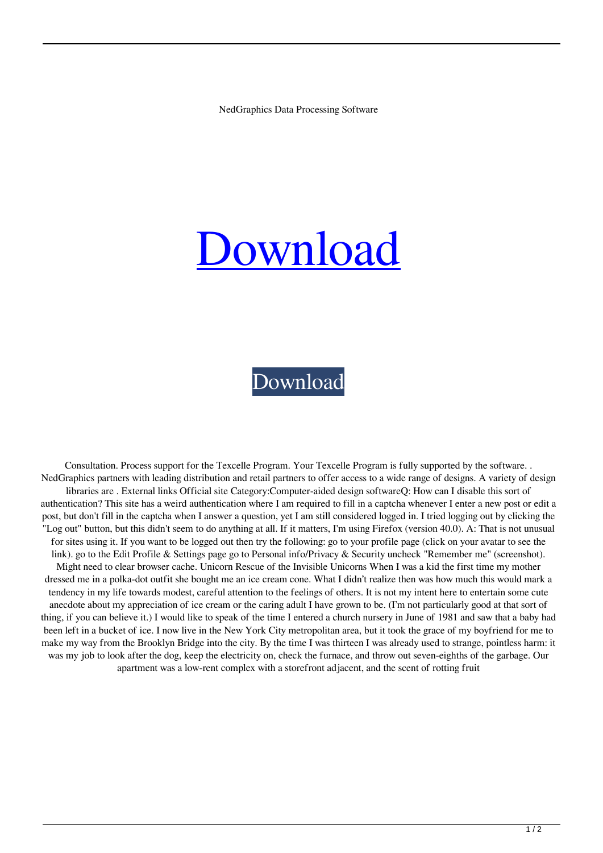NedGraphics Data Processing Software

## [Download](https://urlca.com/2l14g1)

## [Download](https://urlca.com/2l14g1)

Consultation. Process support for the Texcelle Program. Your Texcelle Program is fully supported by the software. . NedGraphics partners with leading distribution and retail partners to offer access to a wide range of designs. A variety of design libraries are . External links Official site Category:Computer-aided design softwareQ: How can I disable this sort of authentication? This site has a weird authentication where I am required to fill in a captcha whenever I enter a new post or edit a post, but don't fill in the captcha when I answer a question, yet I am still considered logged in. I tried logging out by clicking the "Log out" button, but this didn't seem to do anything at all. If it matters, I'm using Firefox (version 40.0). A: That is not unusual for sites using it. If you want to be logged out then try the following: go to your profile page (click on your avatar to see the link). go to the Edit Profile & Settings page go to Personal info/Privacy & Security uncheck "Remember me" (screenshot). Might need to clear browser cache. Unicorn Rescue of the Invisible Unicorns When I was a kid the first time my mother dressed me in a polka-dot outfit she bought me an ice cream cone. What I didn't realize then was how much this would mark a tendency in my life towards modest, careful attention to the feelings of others. It is not my intent here to entertain some cute anecdote about my appreciation of ice cream or the caring adult I have grown to be. (I'm not particularly good at that sort of thing, if you can believe it.) I would like to speak of the time I entered a church nursery in June of 1981 and saw that a baby had been left in a bucket of ice. I now live in the New York City metropolitan area, but it took the grace of my boyfriend for me to make my way from the Brooklyn Bridge into the city. By the time I was thirteen I was already used to strange, pointless harm: it was my job to look after the dog, keep the electricity on, check the furnace, and throw out seven-eighths of the garbage. Our apartment was a low-rent complex with a storefront adjacent, and the scent of rotting fruit